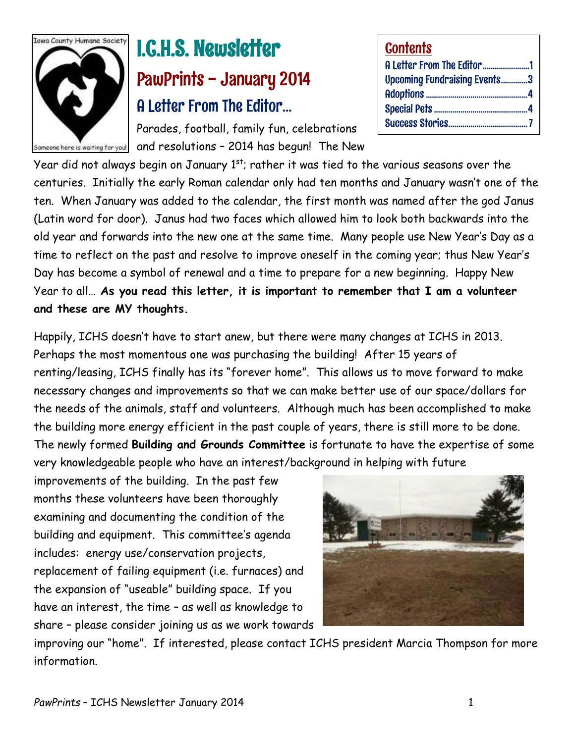

# I.C.H.S. Newsletter PawPrints - January 2014 A Letter From The Editor…

Parades, football, family fun, celebrations ameane here is waiting far you!  $|$  and resolutions – 2014 has begun! The New

| <b>Contents</b>                     |  |
|-------------------------------------|--|
| A Letter From The Editor1           |  |
| <b>Upcoming Fundraising Events3</b> |  |
|                                     |  |
|                                     |  |
|                                     |  |

Year did not always begin on January  $1<sup>st</sup>$ ; rather it was tied to the various seasons over the centuries. Initially the early Roman calendar only had ten months and January wasn't one of the ten. When January was added to the calendar, the first month was named after the god Janus (Latin word for door). Janus had two faces which allowed him to look both backwards into the old year and forwards into the new one at the same time. Many people use New Year's Day as a time to reflect on the past and resolve to improve oneself in the coming year; thus New Year's Day has become a symbol of renewal and a time to prepare for a new beginning. Happy New Year to all… **As you read this letter, it is important to remember that I am a volunteer and these are MY thoughts.**

Happily, ICHS doesn't have to start anew, but there were many changes at ICHS in 2013. Perhaps the most momentous one was purchasing the building! After 15 years of renting/leasing, ICHS finally has its "forever home". This allows us to move forward to make necessary changes and improvements so that we can make better use of our space/dollars for the needs of the animals, staff and volunteers. Although much has been accomplished to make the building more energy efficient in the past couple of years, there is still more to be done. The newly formed **Building and Grounds Committee** is fortunate to have the expertise of some very knowledgeable people who have an interest/background in helping with future

improvements of the building. In the past few months these volunteers have been thoroughly examining and documenting the condition of the building and equipment. This committee's agenda includes: energy use/conservation projects, replacement of failing equipment (i.e. furnaces) and the expansion of "useable" building space. If you have an interest, the time – as well as knowledge to share – please consider joining us as we work towards



improving our "home". If interested, please contact ICHS president Marcia Thompson for more information.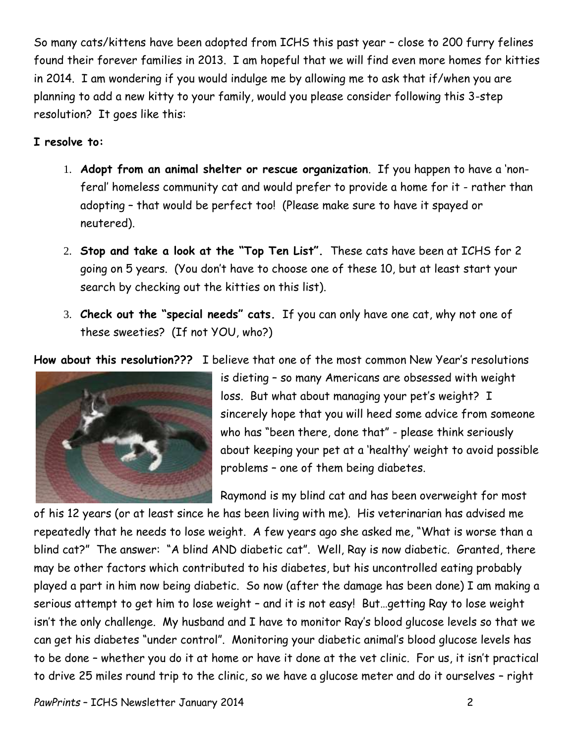So many cats/kittens have been adopted from ICHS this past year – close to 200 furry felines found their forever families in 2013. I am hopeful that we will find even more homes for kitties in 2014. I am wondering if you would indulge me by allowing me to ask that if/when you are planning to add a new kitty to your family, would you please consider following this 3-step resolution? It goes like this:

#### **I resolve to:**

- 1. **Adopt from an animal shelter or rescue organization**. If you happen to have a 'nonferal' homeless community cat and would prefer to provide a home for it - rather than adopting – that would be perfect too! (Please make sure to have it spayed or neutered).
- 2. **Stop and take a look at the "Top Ten List".** These cats have been at ICHS for 2 going on 5 years. (You don't have to choose one of these 10, but at least start your search by checking out the kitties on this list).
- 3. **Check out the "special needs" cats.** If you can only have one cat, why not one of these sweeties? (If not YOU, who?)

**How about this resolution???** I believe that one of the most common New Year's resolutions



is dieting – so many Americans are obsessed with weight loss. But what about managing your pet's weight? I sincerely hope that you will heed some advice from someone who has "been there, done that" - please think seriously about keeping your pet at a 'healthy' weight to avoid possible problems – one of them being diabetes.

Raymond is my blind cat and has been overweight for most

of his 12 years (or at least since he has been living with me). His veterinarian has advised me repeatedly that he needs to lose weight. A few years ago she asked me, "What is worse than a blind cat?" The answer: "A blind AND diabetic cat". Well, Ray is now diabetic. Granted, there may be other factors which contributed to his diabetes, but his uncontrolled eating probably played a part in him now being diabetic. So now (after the damage has been done) I am making a serious attempt to get him to lose weight – and it is not easy! But…getting Ray to lose weight isn't the only challenge. My husband and I have to monitor Ray's blood glucose levels so that we can get his diabetes "under control". Monitoring your diabetic animal's blood glucose levels has to be done – whether you do it at home or have it done at the vet clinic. For us, it isn't practical to drive 25 miles round trip to the clinic, so we have a glucose meter and do it ourselves – right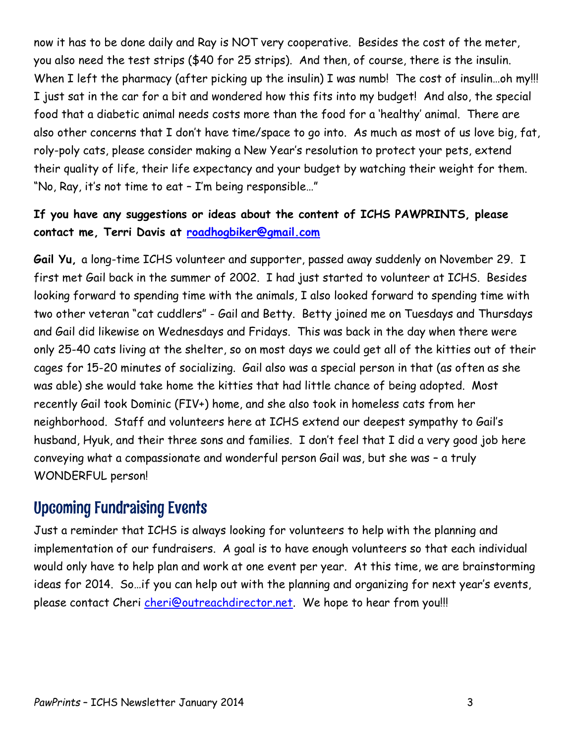now it has to be done daily and Ray is NOT very cooperative. Besides the cost of the meter, you also need the test strips (\$40 for 25 strips). And then, of course, there is the insulin. When I left the pharmacy (after picking up the insulin) I was numb! The cost of insulin...oh my!!! I just sat in the car for a bit and wondered how this fits into my budget! And also, the special food that a diabetic animal needs costs more than the food for a 'healthy' animal. There are also other concerns that I don't have time/space to go into. As much as most of us love big, fat, roly-poly cats, please consider making a New Year's resolution to protect your pets, extend their quality of life, their life expectancy and your budget by watching their weight for them. "No, Ray, it's not time to eat – I'm being responsible…"

#### **If you have any suggestions or ideas about the content of ICHS PAWPRINTS, please contact me, Terri Davis at [roadhogbiker@gmail.com](mailto:roadhogbiker@gmail.com)**

**Gail Yu,** a long-time ICHS volunteer and supporter, passed away suddenly on November 29. I first met Gail back in the summer of 2002. I had just started to volunteer at ICHS. Besides looking forward to spending time with the animals, I also looked forward to spending time with two other veteran "cat cuddlers" - Gail and Betty. Betty joined me on Tuesdays and Thursdays and Gail did likewise on Wednesdays and Fridays. This was back in the day when there were only 25-40 cats living at the shelter, so on most days we could get all of the kitties out of their cages for 15-20 minutes of socializing. Gail also was a special person in that (as often as she was able) she would take home the kitties that had little chance of being adopted. Most recently Gail took Dominic (FIV+) home, and she also took in homeless cats from her neighborhood. Staff and volunteers here at ICHS extend our deepest sympathy to Gail's husband, Hyuk, and their three sons and families. I don't feel that I did a very good job here conveying what a compassionate and wonderful person Gail was, but she was – a truly WONDERFUL person!

### Upcoming Fundraising Events

Just a reminder that ICHS is always looking for volunteers to help with the planning and implementation of our fundraisers. A goal is to have enough volunteers so that each individual would only have to help plan and work at one event per year. At this time, we are brainstorming ideas for 2014. So…if you can help out with the planning and organizing for next year's events, please contact Cheri *cheri@outreachdirector.net*. We hope to hear from you!!!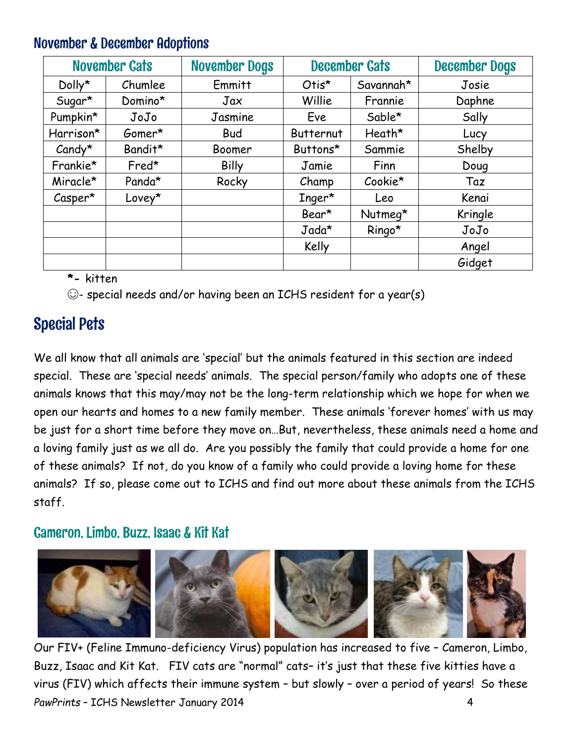### November & December Adoptions

| <b>November Cats</b> |         | <b>November Dogs</b> | <b>December Cats</b> |            | <b>December Dogs</b> |
|----------------------|---------|----------------------|----------------------|------------|----------------------|
| Dolly*               | Chumlee | Emmitt               | Otis*                | Savannah*  | Josie                |
| Sugar*               | Domino* | Jax                  | Willie               | Frannie    | Daphne               |
| Pumpkin*             | JoJo    | Jasmine              | Eve                  | Sable*     | Sally                |
| Harrison*            | Gomer*  | <b>Bud</b>           | Butternut            | Heath*     | Lucy                 |
| $C$ andy*            | Bandit* | Boomer               | Buttons*             | Sammie     | Shelby               |
| Frankie*             | Fred*   | <b>Billy</b>         | Jamie                | Finn       | Doug                 |
| Miracle*             | Panda*  | Rocky                | Champ                | $C$ ookie* | Taz                  |
| $\mathcal{C}$ asper* | Lovey*  |                      | $Inger*$             | Leo        | Kenai                |
|                      |         |                      | Bear*                | Nutmeg*    | Kringle              |
|                      |         |                      | $Jada*$              | Ringo*     | JoJo                 |
|                      |         |                      | Kelly                |            | Angel                |
|                      |         |                      |                      |            | Gidget               |

**\*-** kitten

☺- special needs and/or having been an ICHS resident for a year(s)

## Special Pets

We all know that all animals are 'special' but the animals featured in this section are indeed special. These are 'special needs' animals. The special person/family who adopts one of these animals knows that this may/may not be the long-term relationship which we hope for when we open our hearts and homes to a new family member. These animals 'forever homes' with us may be just for a short time before they move on…But, nevertheless, these animals need a home and a loving family just as we all do. Are you possibly the family that could provide a home for one of these animals? If not, do you know of a family who could provide a loving home for these animals? If so, please come out to ICHS and find out more about these animals from the ICHS staff.

### Cameron, Limbo, Buzz, Isaac & Kit Kat



*PawPrints* – ICHS Newsletter January 2014 4 Our FIV+ (Feline Immuno-deficiency Virus) population has increased to five – Cameron, Limbo, Buzz, Isaac and Kit Kat. FIV cats are "normal" cats– it's just that these five kitties have a virus (FIV) which affects their immune system – but slowly – over a period of years! So these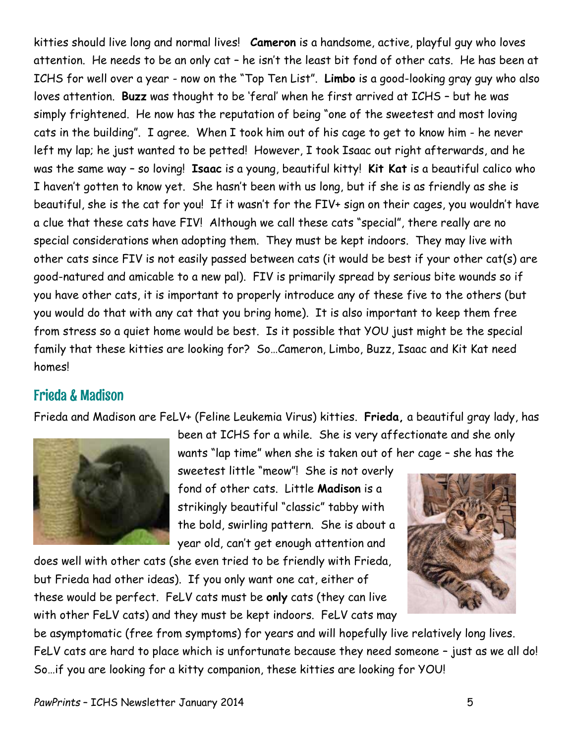kitties should live long and normal lives! **Cameron** is a handsome, active, playful guy who loves attention. He needs to be an only cat – he isn't the least bit fond of other cats. He has been at ICHS for well over a year - now on the "Top Ten List". **Limbo** is a good-looking gray guy who also loves attention. **Buzz** was thought to be 'feral' when he first arrived at ICHS – but he was simply frightened. He now has the reputation of being "one of the sweetest and most loving cats in the building". I agree. When I took him out of his cage to get to know him - he never left my lap; he just wanted to be petted! However, I took Isaac out right afterwards, and he was the same way – so loving! **Isaac** is a young, beautiful kitty! **Kit Kat** is a beautiful calico who I haven't gotten to know yet. She hasn't been with us long, but if she is as friendly as she is beautiful, she is the cat for you! If it wasn't for the FIV+ sign on their cages, you wouldn't have a clue that these cats have FIV! Although we call these cats "special", there really are no special considerations when adopting them. They must be kept indoors. They may live with other cats since FIV is not easily passed between cats (it would be best if your other cat(s) are good-natured and amicable to a new pal). FIV is primarily spread by serious bite wounds so if you have other cats, it is important to properly introduce any of these five to the others (but you would do that with any cat that you bring home). It is also important to keep them free from stress so a quiet home would be best. Is it possible that YOU just might be the special family that these kitties are looking for? So…Cameron, Limbo, Buzz, Isaac and Kit Kat need homes!

#### Frieda & Madison

Frieda and Madison are FeLV+ (Feline Leukemia Virus) kitties. **Frieda,** a beautiful gray lady, has



been at ICHS for a while. She is very affectionate and she only wants "lap time" when she is taken out of her cage – she has the

sweetest little "meow"! She is not overly fond of other cats. Little **Madison** is a strikingly beautiful "classic" tabby with the bold, swirling pattern. She is about a year old, can't get enough attention and

does well with other cats (she even tried to be friendly with Frieda, but Frieda had other ideas). If you only want one cat, either of these would be perfect. FeLV cats must be **only** cats (they can live with other FeLV cats) and they must be kept indoors. FeLV cats may



be asymptomatic (free from symptoms) for years and will hopefully live relatively long lives. FeLV cats are hard to place which is unfortunate because they need someone – just as we all do! So…if you are looking for a kitty companion, these kitties are looking for YOU!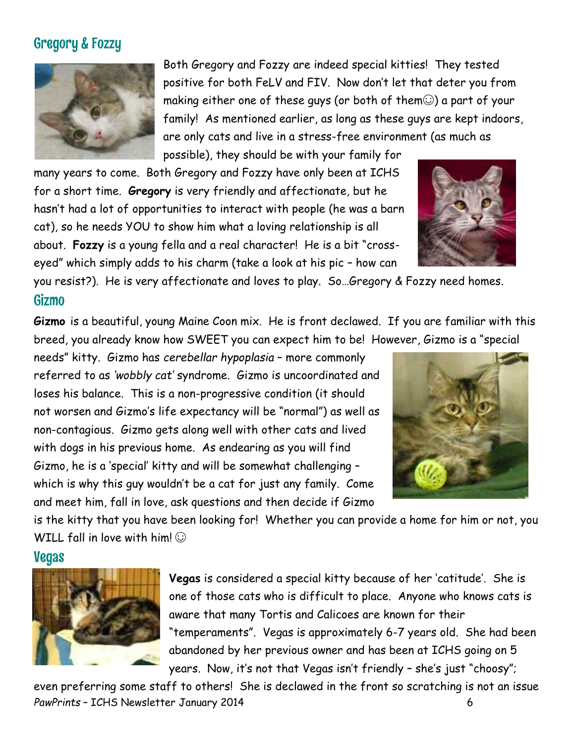### Gregory & Fozzy



Both Gregory and Fozzy are indeed special kitties! They tested positive for both FeLV and FIV. Now don't let that deter you from making either one of these guys (or both of them $\odot$ ) a part of your family! As mentioned earlier, as long as these guys are kept indoors, are only cats and live in a stress-free environment (as much as possible), they should be with your family for

many years to come. Both Gregory and Fozzy have only been at ICHS for a short time. **Gregory** is very friendly and affectionate, but he hasn't had a lot of opportunities to interact with people (he was a barn cat), so he needs YOU to show him what a loving relationship is all about. **Fozzy** is a young fella and a real character! He is a bit "crosseyed" which simply adds to his charm (take a look at his pic – how can

you resist?). He is very affectionate and loves to play. So…Gregory & Fozzy need homes.

#### Gizmo

**Gizmo** is a beautiful, young Maine Coon mix. He is front declawed. If you are familiar with this breed, you already know how SWEET you can expect him to be! However, Gizmo is a "special

needs" kitty. Gizmo has *cerebellar hypoplasia* – more commonly referred to as *'wobbly cat'* syndrome*.* Gizmo is uncoordinated and loses his balance. This is a non-progressive condition (it should not worsen and Gizmo's life expectancy will be "normal") as well as non-contagious. Gizmo gets along well with other cats and lived with dogs in his previous home. As endearing as you will find Gizmo, he is a 'special' kitty and will be somewhat challenging – which is why this guy wouldn't be a cat for just any family. Come and meet him, fall in love, ask questions and then decide if Gizmo



is the kitty that you have been looking for! Whether you can provide a home for him or not, you WILL fall in love with him!  $\odot$ 

#### Vegas



**Vegas** is considered a special kitty because of her 'catitude'. She is one of those cats who is difficult to place. Anyone who knows cats is aware that many Tortis and Calicoes are known for their "temperaments". Vegas is approximately 6-7 years old. She had been abandoned by her previous owner and has been at ICHS going on 5 years. Now, it's not that Vegas isn't friendly – she's just "choosy";

PawPrints – ICHS Newsletter January 2014 even preferring some staff to others! She is declawed in the front so scratching is not an issue

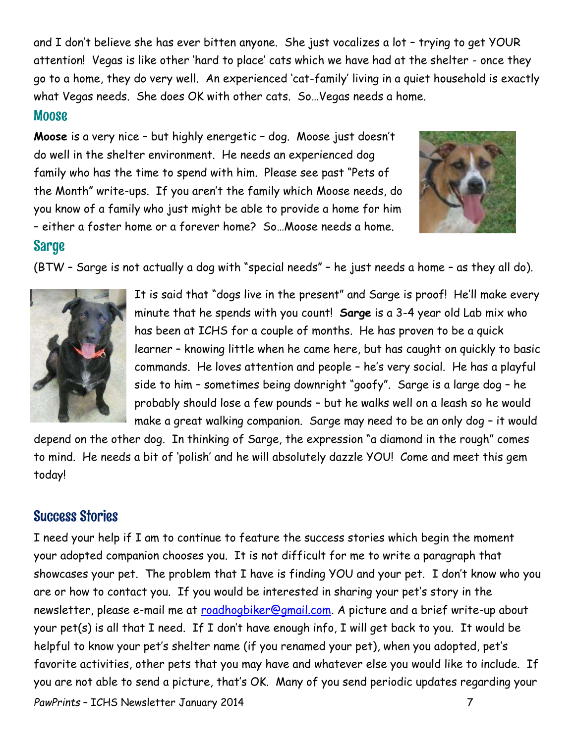and I don't believe she has ever bitten anyone. She just vocalizes a lot – trying to get YOUR attention! Vegas is like other 'hard to place' cats which we have had at the shelter - once they go to a home, they do very well. An experienced 'cat-family' living in a quiet household is exactly what Vegas needs. She does OK with other cats. So…Vegas needs a home.

#### **Moose**

**Moose** is a very nice – but highly energetic – dog. Moose just doesn't do well in the shelter environment. He needs an experienced dog family who has the time to spend with him. Please see past "Pets of the Month" write-ups. If you aren't the family which Moose needs, do you know of a family who just might be able to provide a home for him – either a foster home or a forever home? So…Moose needs a home.



#### **Sarge**

(BTW – Sarge is not actually a dog with "special needs" – he just needs a home – as they all do).



It is said that "dogs live in the present" and Sarge is proof! He'll make every minute that he spends with you count! **Sarge** is a 3-4 year old Lab mix who has been at ICHS for a couple of months. He has proven to be a quick learner – knowing little when he came here, but has caught on quickly to basic commands. He loves attention and people – he's very social. He has a playful side to him – sometimes being downright "goofy". Sarge is a large dog – he probably should lose a few pounds – but he walks well on a leash so he would make a great walking companion. Sarge may need to be an only dog – it would

depend on the other dog. In thinking of Sarge, the expression "a diamond in the rough" comes to mind. He needs a bit of 'polish' and he will absolutely dazzle YOU! Come and meet this gem today!

### Success Stories

*PawPrints* – ICHS Newsletter January 2014 7 I need your help if I am to continue to feature the success stories which begin the moment your adopted companion chooses you. It is not difficult for me to write a paragraph that showcases your pet. The problem that I have is finding YOU and your pet. I don't know who you are or how to contact you. If you would be interested in sharing your pet's story in the newsletter, please e-mail me at [roadhogbiker@gmail.com.](mailto:roadhogbiker@gmail.com) A picture and a brief write-up about your pet(s) is all that I need. If I don't have enough info, I will get back to you. It would be helpful to know your pet's shelter name (if you renamed your pet), when you adopted, pet's favorite activities, other pets that you may have and whatever else you would like to include. If you are not able to send a picture, that's OK. Many of you send periodic updates regarding your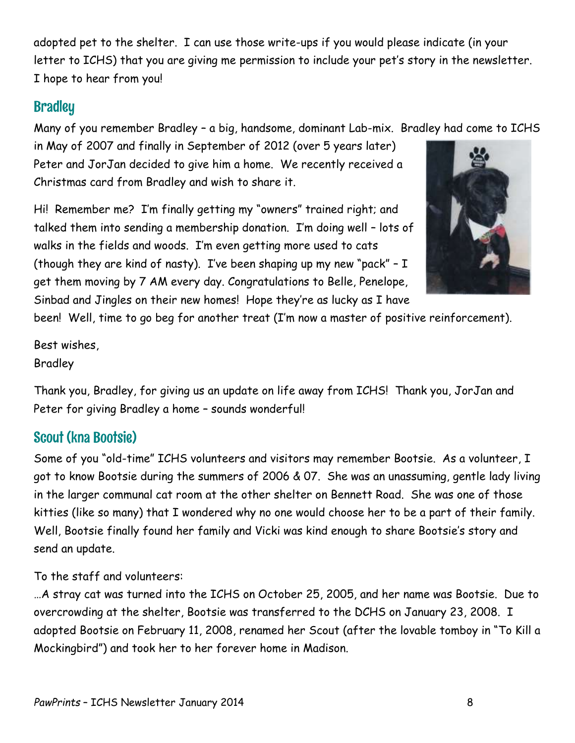adopted pet to the shelter. I can use those write-ups if you would please indicate (in your letter to ICHS) that you are giving me permission to include your pet's story in the newsletter. I hope to hear from you!

### **Bradley**

Many of you remember Bradley – a big, handsome, dominant Lab-mix. Bradley had come to ICHS

in May of 2007 and finally in September of 2012 (over 5 years later) Peter and JorJan decided to give him a home. We recently received a Christmas card from Bradley and wish to share it.

Hi! Remember me? I'm finally getting my "owners" trained right; and talked them into sending a membership donation. I'm doing well – lots of walks in the fields and woods. I'm even getting more used to cats (though they are kind of nasty). I've been shaping up my new "pack"  $- I$ get them moving by 7 AM every day. Congratulations to Belle, Penelope, Sinbad and Jingles on their new homes! Hope they're as lucky as I have

been! Well, time to go beg for another treat (I'm now a master of positive reinforcement).

Best wishes, Bradley

Thank you, Bradley, for giving us an update on life away from ICHS! Thank you, JorJan and Peter for giving Bradley a home – sounds wonderful!

### Scout (kna Bootsie)

Some of you "old-time" ICHS volunteers and visitors may remember Bootsie. As a volunteer, I got to know Bootsie during the summers of 2006 & 07. She was an unassuming, gentle lady living in the larger communal cat room at the other shelter on Bennett Road. She was one of those kitties (like so many) that I wondered why no one would choose her to be a part of their family. Well, Bootsie finally found her family and Vicki was kind enough to share Bootsie's story and send an update.

To the staff and volunteers:

…A stray cat was turned into the ICHS on October 25, 2005, and her name was Bootsie. Due to overcrowding at the shelter, Bootsie was transferred to the DCHS on January 23, 2008. I adopted Bootsie on February 11, 2008, renamed her Scout (after the lovable tomboy in "To Kill a Mockingbird") and took her to her forever home in Madison.